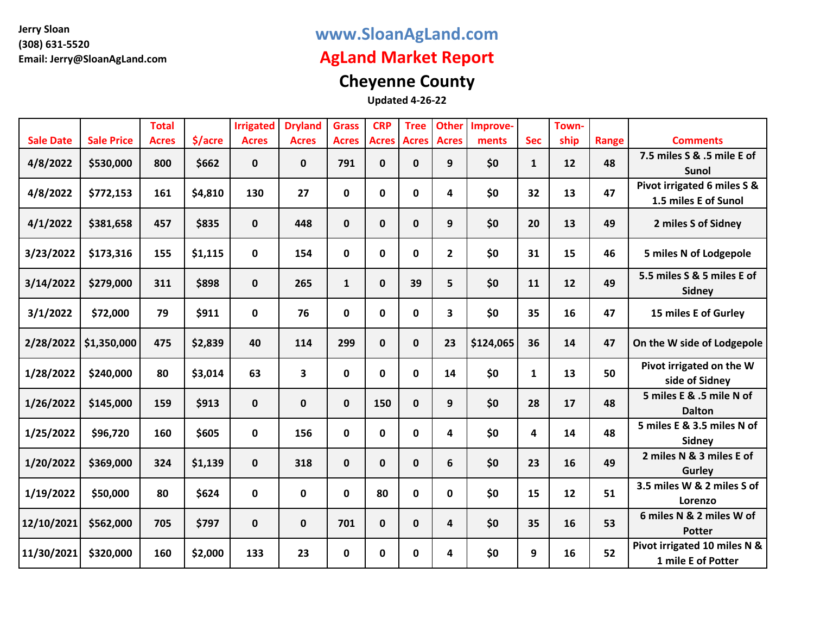### **www.SloanAgLand.com**

## **AgLand Market Report**

# **Cheyenne County**

|                  |                   | <b>Total</b> |         | <b>Irrigated</b> | <b>Dryland</b> | <b>Grass</b> | <b>CRP</b>   | <b>Tree</b>  | <b>Other</b> | Improve-  |              | Town- |       |                                                     |
|------------------|-------------------|--------------|---------|------------------|----------------|--------------|--------------|--------------|--------------|-----------|--------------|-------|-------|-----------------------------------------------------|
| <b>Sale Date</b> | <b>Sale Price</b> | <b>Acres</b> | \$/acre | <b>Acres</b>     | <b>Acres</b>   | <b>Acres</b> | <b>Acres</b> | <b>Acres</b> | <b>Acres</b> | ments     | <b>Sec</b>   | ship  | Range | <b>Comments</b>                                     |
| 4/8/2022         | \$530,000         | 800          | \$662   | $\mathbf{0}$     | 0              | 791          | $\mathbf 0$  | $\mathbf{0}$ | 9            | \$0       | $\mathbf{1}$ | 12    | 48    | 7.5 miles S & .5 mile E of<br>Sunol                 |
| 4/8/2022         | \$772,153         | 161          | \$4,810 | 130              | 27             | $\mathbf 0$  | $\mathbf 0$  | $\mathbf 0$  | 4            | \$0       | 32           | 13    | 47    | Pivot irrigated 6 miles S &<br>1.5 miles E of Sunol |
| 4/1/2022         | \$381,658         | 457          | \$835   | $\mathbf 0$      | 448            | $\mathbf 0$  | $\pmb{0}$    | $\mathbf 0$  | 9            | \$0       | 20           | 13    | 49    | 2 miles S of Sidney                                 |
| 3/23/2022        | \$173,316         | 155          | \$1,115 | $\mathbf 0$      | 154            | 0            | $\mathbf 0$  | $\mathbf 0$  | $\mathbf{2}$ | \$0       | 31           | 15    | 46    | 5 miles N of Lodgepole                              |
| 3/14/2022        | \$279,000         | 311          | \$898   | $\mathbf 0$      | 265            | $\mathbf{1}$ | $\mathbf 0$  | 39           | 5            | \$0       | 11           | 12    | 49    | 5.5 miles S & 5 miles E of<br>Sidney                |
| 3/1/2022         | \$72,000          | 79           | \$911   | $\mathbf 0$      | 76             | $\mathbf 0$  | $\pmb{0}$    | $\mathbf 0$  | 3            | \$0       | 35           | 16    | 47    | 15 miles E of Gurley                                |
| 2/28/2022        | \$1,350,000       | 475          | \$2,839 | 40               | 114            | 299          | $\mathbf 0$  | $\mathbf{0}$ | 23           | \$124,065 | 36           | 14    | 47    | On the W side of Lodgepole                          |
| 1/28/2022        | \$240,000         | 80           | \$3,014 | 63               | 3              | $\mathbf 0$  | $\mathbf 0$  | $\mathbf 0$  | 14           | \$0       | $\mathbf{1}$ | 13    | 50    | Pivot irrigated on the W<br>side of Sidney          |
| 1/26/2022        | \$145,000         | 159          | \$913   | $\mathbf 0$      | 0              | $\mathbf 0$  | 150          | $\mathbf{0}$ | 9            | \$0       | 28           | 17    | 48    | 5 miles E & .5 mile N of<br><b>Dalton</b>           |
| 1/25/2022        | \$96,720          | 160          | \$605   | $\mathbf 0$      | 156            | $\mathbf 0$  | $\mathbf 0$  | $\mathbf{0}$ | 4            | \$0       | 4            | 14    | 48    | 5 miles E & 3.5 miles N of<br>Sidney                |
| 1/20/2022        | \$369,000         | 324          | \$1,139 | $\mathbf 0$      | 318            | $\mathbf 0$  | $\mathbf 0$  | $\mathbf{0}$ | 6            | \$0       | 23           | 16    | 49    | 2 miles N & 3 miles E of<br>Gurley                  |
| 1/19/2022        | \$50,000          | 80           | \$624   | $\mathbf 0$      | $\mathbf 0$    | $\mathbf 0$  | 80           | $\mathbf 0$  | 0            | \$0       | 15           | 12    | 51    | 3.5 miles W & 2 miles S of<br>Lorenzo               |
| 12/10/2021       | \$562,000         | 705          | \$797   | $\mathbf 0$      | 0              | 701          | $\mathbf 0$  | $\mathbf{0}$ | 4            | \$0       | 35           | 16    | 53    | 6 miles N & 2 miles W of<br><b>Potter</b>           |
| 11/30/2021       | \$320,000         | 160          | \$2,000 | 133              | 23             | $\mathbf 0$  | $\mathbf 0$  | 0            | 4            | \$0       | 9            | 16    | 52    | Pivot irrigated 10 miles N &<br>1 mile E of Potter  |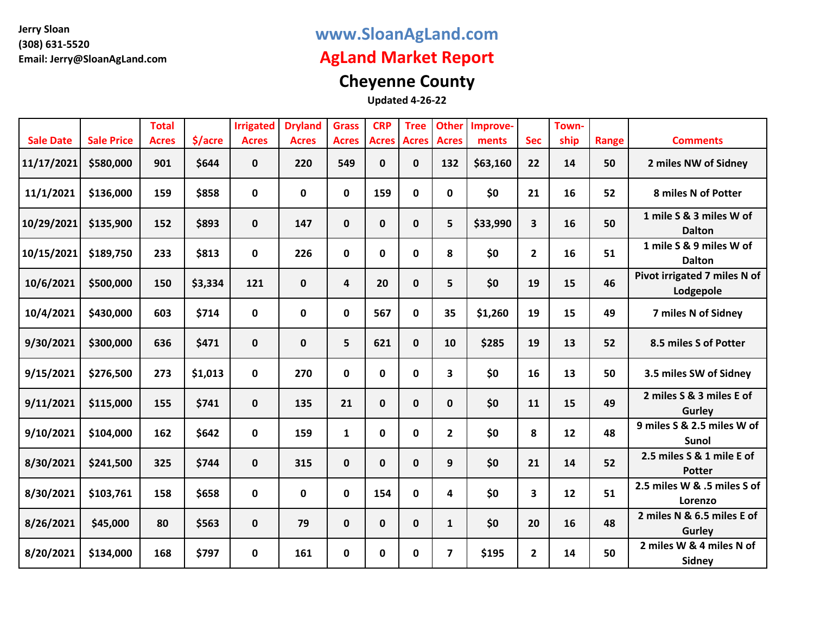### **www.SloanAgLand.com**

## **AgLand Market Report**

# **Cheyenne County**

| <b>Sale Date</b> | <b>Sale Price</b> | <b>Total</b><br><b>Acres</b> | \$/acre | <b>Irrigated</b><br><b>Acres</b> | <b>Dryland</b><br><b>Acres</b> | <b>Grass</b><br><b>Acres</b> | <b>CRP</b><br><b>Acres</b> | <b>Tree</b><br><b>Acres</b> | <b>Other</b><br><b>Acres</b> | Improve-<br>ments | <b>Sec</b>              | Town-<br>ship | Range | <b>Comments</b>                            |
|------------------|-------------------|------------------------------|---------|----------------------------------|--------------------------------|------------------------------|----------------------------|-----------------------------|------------------------------|-------------------|-------------------------|---------------|-------|--------------------------------------------|
| 11/17/2021       | \$580,000         | 901                          | \$644   | $\mathbf{0}$                     | 220                            | 549                          | $\mathbf 0$                | 0                           | 132                          | \$63,160          | 22                      | 14            | 50    | 2 miles NW of Sidney                       |
|                  |                   |                              |         |                                  |                                |                              |                            |                             |                              |                   |                         |               |       |                                            |
| 11/1/2021        | \$136,000         | 159                          | \$858   | $\mathbf 0$                      | $\mathbf 0$                    | $\mathbf 0$                  | 159                        | $\mathbf 0$                 | $\mathbf{0}$                 | \$0               | 21                      | 16            | 52    | 8 miles N of Potter                        |
| 10/29/2021       | \$135,900         | 152                          | \$893   | $\mathbf 0$                      | 147                            | $\mathbf 0$                  | $\pmb{0}$                  | 0                           | 5                            | \$33,990          | $\overline{\mathbf{3}}$ | 16            | 50    | 1 mile S & 3 miles W of<br><b>Dalton</b>   |
| 10/15/2021       | \$189,750         | 233                          | \$813   | $\mathbf 0$                      | 226                            | 0                            | $\mathbf 0$                | $\mathbf 0$                 | 8                            | \$0               | $\overline{2}$          | 16            | 51    | 1 mile S & 9 miles W of<br><b>Dalton</b>   |
| 10/6/2021        | \$500,000         | 150                          | \$3,334 | 121                              | $\mathbf 0$                    | $\overline{a}$               | 20                         | 0                           | 5                            | \$0               | 19                      | 15            | 46    | Pivot irrigated 7 miles N of<br>Lodgepole  |
| 10/4/2021        | \$430,000         | 603                          | \$714   | $\mathbf 0$                      | 0                              | $\mathbf 0$                  | 567                        | $\mathbf 0$                 | 35                           | \$1,260           | 19                      | 15            | 49    | 7 miles N of Sidney                        |
| 9/30/2021        | \$300,000         | 636                          | \$471   | $\mathbf 0$                      | 0                              | 5                            | 621                        | $\mathbf 0$                 | 10                           | \$285             | 19                      | 13            | 52    | 8.5 miles S of Potter                      |
| 9/15/2021        | \$276,500         | 273                          | \$1,013 | $\mathbf 0$                      | 270                            | $\mathbf 0$                  | $\mathbf 0$                | $\mathbf 0$                 | $\overline{\mathbf{3}}$      | \$0               | 16                      | 13            | 50    | 3.5 miles SW of Sidney                     |
| 9/11/2021        | \$115,000         | 155                          | \$741   | $\mathbf 0$                      | 135                            | 21                           | $\mathbf 0$                | $\mathbf 0$                 | $\mathbf{0}$                 | \$0               | 11                      | 15            | 49    | 2 miles S & 3 miles E of<br>Gurley         |
| 9/10/2021        | \$104,000         | 162                          | \$642   | $\mathbf 0$                      | 159                            | $\mathbf{1}$                 | $\mathbf 0$                | $\mathbf 0$                 | $\mathbf{2}$                 | \$0               | 8                       | 12            | 48    | 9 miles S & 2.5 miles W of<br><b>Sunol</b> |
| 8/30/2021        | \$241,500         | 325                          | \$744   | $\mathbf 0$                      | 315                            | $\mathbf 0$                  | $\mathbf 0$                | $\mathbf{0}$                | 9                            | \$0               | 21                      | 14            | 52    | 2.5 miles S & 1 mile E of<br><b>Potter</b> |
| 8/30/2021        | \$103,761         | 158                          | \$658   | $\mathbf 0$                      | $\mathbf 0$                    | $\mathbf 0$                  | 154                        | $\mathbf 0$                 | 4                            | \$0               | 3                       | 12            | 51    | 2.5 miles W & .5 miles S of<br>Lorenzo     |
| 8/26/2021        | \$45,000          | 80                           | \$563   | $\mathbf 0$                      | 79                             | $\mathbf 0$                  | $\mathbf 0$                | $\mathbf{0}$                | $\mathbf{1}$                 | \$0               | 20                      | 16            | 48    | 2 miles N & 6.5 miles E of<br>Gurley       |
| 8/20/2021        | \$134,000         | 168                          | \$797   | $\mathbf 0$                      | 161                            | $\mathbf 0$                  | $\mathbf 0$                | 0                           | $\overline{7}$               | \$195             | $\overline{2}$          | 14            | 50    | 2 miles W & 4 miles N of<br><b>Sidney</b>  |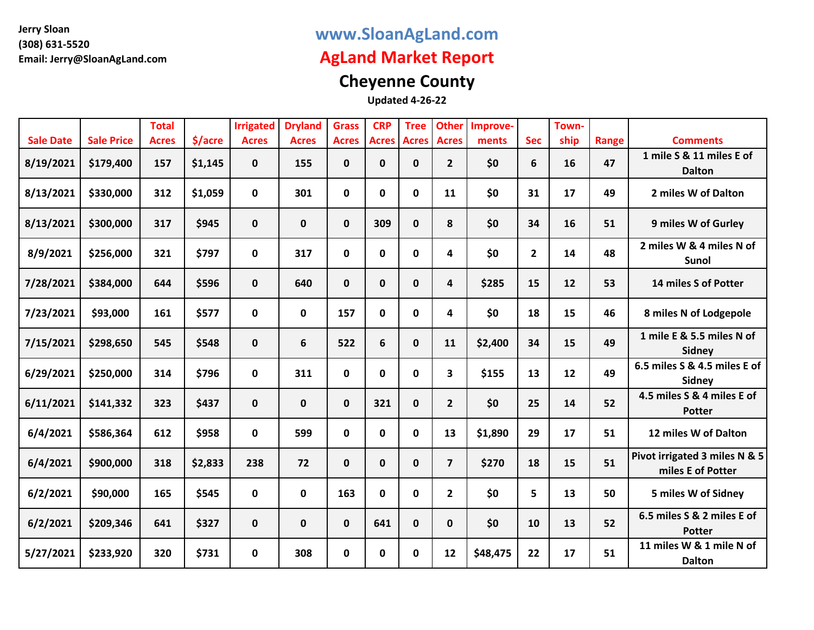### **www.SloanAgLand.com**

## **AgLand Market Report**

# **Cheyenne County**

|                  |                   | <b>Total</b> |         | <b>Irrigated</b> | <b>Dryland</b> | <b>Grass</b> | <b>CRP</b>     | <b>Tree</b>  | <b>Other</b>            | Improve- |                | Town- |       |                                                    |
|------------------|-------------------|--------------|---------|------------------|----------------|--------------|----------------|--------------|-------------------------|----------|----------------|-------|-------|----------------------------------------------------|
| <b>Sale Date</b> | <b>Sale Price</b> | <b>Acres</b> | \$/acre | <b>Acres</b>     | <b>Acres</b>   | <b>Acres</b> | <b>Acres</b>   | <b>Acres</b> | <b>Acres</b>            | ments    | <b>Sec</b>     | ship  | Range | <b>Comments</b>                                    |
| 8/19/2021        | \$179,400         | 157          | \$1,145 | $\mathbf{0}$     | 155            | $\mathbf{0}$ | $\mathbf 0$    | 0            | $\mathbf{2}$            | \$0      | 6              | 16    | 47    | 1 mile S & 11 miles E of<br><b>Dalton</b>          |
| 8/13/2021        | \$330,000         | 312          | \$1,059 | $\mathbf 0$      | 301            | 0            | $\mathbf 0$    | 0            | 11                      | \$0      | 31             | 17    | 49    | 2 miles W of Dalton                                |
| 8/13/2021        | \$300,000         | 317          | \$945   | $\mathbf 0$      | 0              | $\mathbf 0$  | 309            | $\mathbf 0$  | 8                       | \$0      | 34             | 16    | 51    | 9 miles W of Gurley                                |
| 8/9/2021         | \$256,000         | 321          | \$797   | $\mathbf 0$      | 317            | $\mathbf 0$  | $\mathbf 0$    | 0            | 4                       | \$0      | $\overline{2}$ | 14    | 48    | 2 miles W & 4 miles N of<br>Sunol                  |
| 7/28/2021        | \$384,000         | 644          | \$596   | $\mathbf 0$      | 640            | $\mathbf 0$  | $\mathbf 0$    | $\mathbf 0$  | $\overline{\mathbf{4}}$ | \$285    | 15             | 12    | 53    | 14 miles S of Potter                               |
| 7/23/2021        | \$93,000          | 161          | \$577   | 0                | 0              | 157          | $\pmb{0}$      | $\mathbf 0$  | 4                       | \$0      | 18             | 15    | 46    | 8 miles N of Lodgepole                             |
| 7/15/2021        | \$298,650         | 545          | \$548   | $\mathbf 0$      | 6              | 522          | $6\phantom{1}$ | $\mathbf 0$  | 11                      | \$2,400  | 34             | 15    | 49    | 1 mile E & 5.5 miles N of<br>Sidney                |
| 6/29/2021        | \$250,000         | 314          | \$796   | $\mathbf 0$      | 311            | $\mathbf 0$  | $\mathbf 0$    | 0            | $\mathbf{3}$            | \$155    | 13             | 12    | 49    | 6.5 miles S & 4.5 miles E of<br>Sidney             |
| 6/11/2021        | \$141,332         | 323          | \$437   | $\mathbf 0$      | 0              | $\mathbf 0$  | 321            | $\mathbf 0$  | $\overline{2}$          | \$0      | 25             | 14    | 52    | 4.5 miles S & 4 miles E of<br><b>Potter</b>        |
| 6/4/2021         | \$586,364         | 612          | \$958   | $\mathbf 0$      | 599            | 0            | $\mathbf 0$    | 0            | 13                      | \$1,890  | 29             | 17    | 51    | 12 miles W of Dalton                               |
| 6/4/2021         | \$900,000         | 318          | \$2,833 | 238              | 72             | $\mathbf{0}$ | $\mathbf 0$    | $\mathbf 0$  | $\overline{7}$          | \$270    | 18             | 15    | 51    | Pivot irrigated 3 miles N & 5<br>miles E of Potter |
| 6/2/2021         | \$90,000          | 165          | \$545   | $\mathbf 0$      | $\mathbf 0$    | 163          | $\mathbf 0$    | 0            | $\mathbf{2}$            | \$0      | 5              | 13    | 50    | 5 miles W of Sidney                                |
| 6/2/2021         | \$209,346         | 641          | \$327   | $\mathbf 0$      | 0              | $\mathbf{0}$ | 641            | $\mathbf 0$  | $\mathbf{0}$            | \$0      | 10             | 13    | 52    | 6.5 miles S & 2 miles E of<br><b>Potter</b>        |
| 5/27/2021        | \$233,920         | 320          | \$731   | $\mathbf 0$      | 308            | $\mathbf 0$  | $\mathbf 0$    | $\mathbf 0$  | 12                      | \$48,475 | 22             | 17    | 51    | 11 miles W & 1 mile N of<br><b>Dalton</b>          |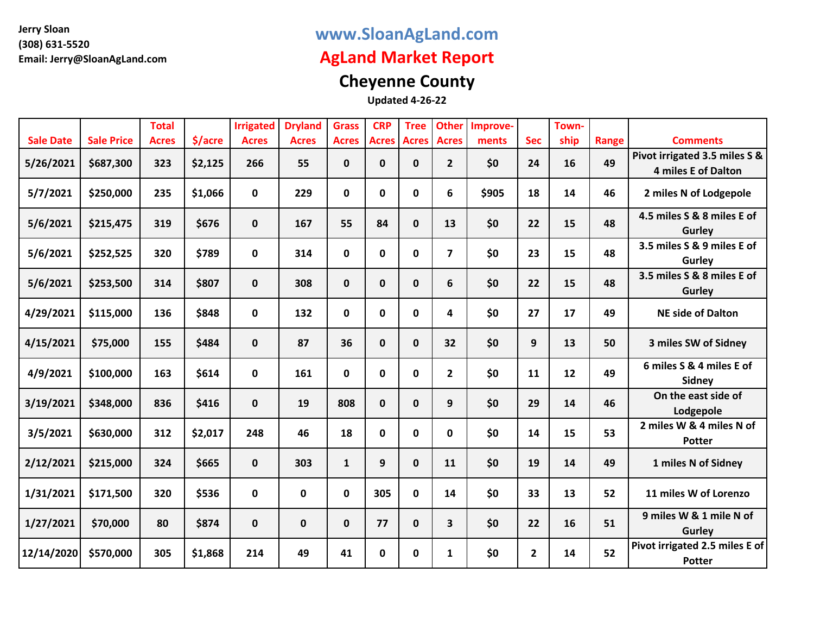### **www.SloanAgLand.com**

## **AgLand Market Report**

# **Cheyenne County**

|                  |                   | <b>Total</b> |         | <b>Irrigated</b> | <b>Dryland</b> | <b>Grass</b> | <b>CRP</b>   | <b>Tree</b>  | <b>Other</b>   | Improve- |              | Town- |       |                                                             |
|------------------|-------------------|--------------|---------|------------------|----------------|--------------|--------------|--------------|----------------|----------|--------------|-------|-------|-------------------------------------------------------------|
| <b>Sale Date</b> | <b>Sale Price</b> | <b>Acres</b> | \$/acre | <b>Acres</b>     | <b>Acres</b>   | <b>Acres</b> | <b>Acres</b> | <b>Acres</b> | <b>Acres</b>   | ments    | <b>Sec</b>   | ship  | Range | <b>Comments</b>                                             |
| 5/26/2021        | \$687,300         | 323          | \$2,125 | 266              | 55             | 0            | $\mathbf 0$  | 0            | $\mathbf{2}$   | \$0      | 24           | 16    | 49    | Pivot irrigated 3.5 miles S &<br><b>4 miles E of Dalton</b> |
| 5/7/2021         | \$250,000         | 235          | \$1,066 | $\mathbf 0$      | 229            | $\mathbf 0$  | $\pmb{0}$    | $\mathbf 0$  | 6              | \$905    | 18           | 14    | 46    | 2 miles N of Lodgepole                                      |
| 5/6/2021         | \$215,475         | 319          | \$676   | $\mathbf 0$      | 167            | 55           | 84           | $\mathbf 0$  | 13             | \$0      | 22           | 15    | 48    | 4.5 miles S & 8 miles E of<br>Gurley                        |
| 5/6/2021         | \$252,525         | 320          | \$789   | $\mathbf 0$      | 314            | $\mathbf 0$  | $\mathbf 0$  | $\mathbf 0$  | $\overline{7}$ | \$0      | 23           | 15    | 48    | 3.5 miles S & 9 miles E of<br>Gurley                        |
| 5/6/2021         | \$253,500         | 314          | \$807   | $\mathbf 0$      | 308            | $\mathbf 0$  | $\pmb{0}$    | $\mathbf{0}$ | 6              | \$0      | 22           | 15    | 48    | 3.5 miles S & 8 miles E of<br>Gurley                        |
| 4/29/2021        | \$115,000         | 136          | \$848   | $\mathbf{0}$     | 132            | 0            | $\mathbf 0$  | $\mathbf 0$  | 4              | \$0      | 27           | 17    | 49    | <b>NE side of Dalton</b>                                    |
| 4/15/2021        | \$75,000          | 155          | \$484   | $\mathbf 0$      | 87             | 36           | $\mathbf 0$  | $\mathbf 0$  | 32             | \$0      | 9            | 13    | 50    | 3 miles SW of Sidney                                        |
| 4/9/2021         | \$100,000         | 163          | \$614   | $\mathbf{0}$     | 161            | 0            | $\mathbf 0$  | $\mathbf 0$  | $\mathbf{2}$   | \$0      | 11           | 12    | 49    | 6 miles S & 4 miles E of<br>Sidney                          |
| 3/19/2021        | \$348,000         | 836          | \$416   | $\mathbf 0$      | 19             | 808          | $\mathbf 0$  | $\mathbf 0$  | 9              | \$0      | 29           | 14    | 46    | On the east side of<br>Lodgepole                            |
| 3/5/2021         | \$630,000         | 312          | \$2,017 | 248              | 46             | 18           | $\mathbf 0$  | $\mathbf 0$  | 0              | \$0      | 14           | 15    | 53    | 2 miles W & 4 miles N of<br><b>Potter</b>                   |
| 2/12/2021        | \$215,000         | 324          | \$665   | $\mathbf 0$      | 303            | $\mathbf{1}$ | 9            | $\mathbf{0}$ | 11             | \$0      | 19           | 14    | 49    | 1 miles N of Sidney                                         |
| 1/31/2021        | \$171,500         | 320          | \$536   | $\mathbf 0$      | $\mathbf 0$    | $\mathbf 0$  | 305          | $\mathbf 0$  | 14             | \$0      | 33           | 13    | 52    | 11 miles W of Lorenzo                                       |
| 1/27/2021        | \$70,000          | 80           | \$874   | $\mathbf 0$      | 0              | $\mathbf 0$  | 77           | $\mathbf 0$  | 3              | \$0      | 22           | 16    | 51    | 9 miles W & 1 mile N of<br>Gurley                           |
| 12/14/2020       | \$570,000         | 305          | \$1,868 | 214              | 49             | 41           | 0            | 0            | 1              | \$0      | $\mathbf{2}$ | 14    | 52    | Pivot irrigated 2.5 miles E of<br><b>Potter</b>             |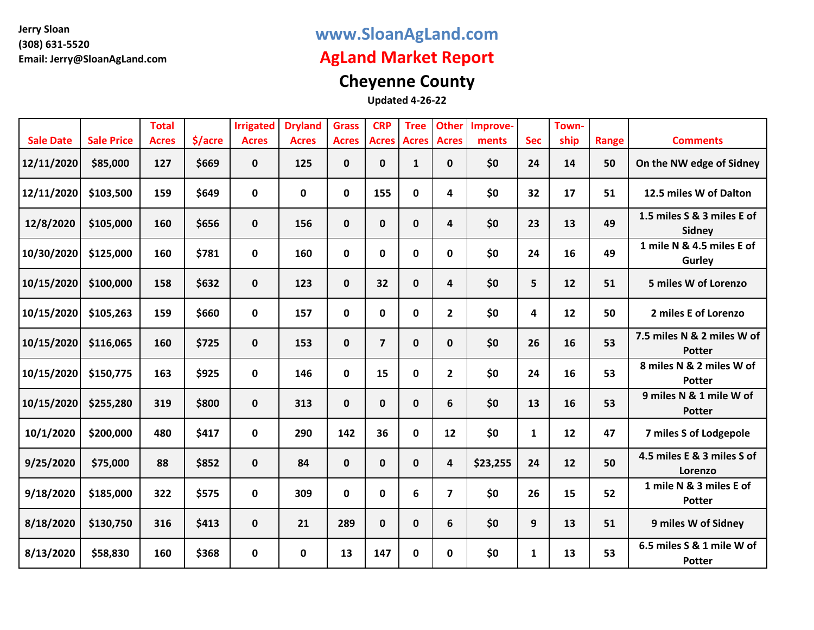### **www.SloanAgLand.com**

## **AgLand Market Report**

# **Cheyenne County**

|                  |                   | <b>Total</b> |         | <b>Irrigated</b> | <b>Dryland</b> | <b>Grass</b> | <b>CRP</b>              | <b>Tree</b>  | <b>Other</b>            | Improve- |              | Town- |       |                                             |
|------------------|-------------------|--------------|---------|------------------|----------------|--------------|-------------------------|--------------|-------------------------|----------|--------------|-------|-------|---------------------------------------------|
| <b>Sale Date</b> | <b>Sale Price</b> | <b>Acres</b> | \$/acre | <b>Acres</b>     | <b>Acres</b>   | <b>Acres</b> | <b>Acres</b>            | <b>Acres</b> | <b>Acres</b>            | ments    | <b>Sec</b>   | ship  | Range | <b>Comments</b>                             |
| 12/11/2020       | \$85,000          | 127          | \$669   | $\mathbf 0$      | 125            | $\mathbf 0$  | $\mathbf 0$             | 1            | $\mathbf{0}$            | \$0      | 24           | 14    | 50    | On the NW edge of Sidney                    |
| 12/11/2020       | \$103,500         | 159          | \$649   | $\mathbf 0$      | $\mathbf 0$    | 0            | 155                     | $\mathbf 0$  | 4                       | \$0      | 32           | 17    | 51    | 12.5 miles W of Dalton                      |
| 12/8/2020        | \$105,000         | 160          | \$656   | $\mathbf 0$      | 156            | $\mathbf 0$  | $\mathbf 0$             | $\mathbf{0}$ | 4                       | \$0      | 23           | 13    | 49    | 1.5 miles S & 3 miles E of<br>Sidney        |
| 10/30/2020       | \$125,000         | 160          | \$781   | $\mathbf 0$      | 160            | $\mathbf 0$  | $\mathbf 0$             | $\mathbf 0$  | $\mathbf{0}$            | \$0      | 24           | 16    | 49    | 1 mile N & 4.5 miles E of<br>Gurley         |
| 10/15/2020       | \$100,000         | 158          | \$632   | $\mathbf 0$      | 123            | $\mathbf 0$  | 32                      | $\mathbf 0$  | 4                       | \$0      | 5            | 12    | 51    | 5 miles W of Lorenzo                        |
| 10/15/2020       | \$105,263         | 159          | \$660   | $\mathbf 0$      | 157            | 0            | $\mathbf 0$             | $\mathbf 0$  | $\mathbf{2}$            | \$0      | 4            | 12    | 50    | 2 miles E of Lorenzo                        |
| 10/15/2020       | \$116,065         | 160          | \$725   | $\mathbf 0$      | 153            | $\mathbf 0$  | $\overline{\mathbf{z}}$ | $\mathbf 0$  | $\mathbf{0}$            | \$0      | 26           | 16    | 53    | 7.5 miles N & 2 miles W of<br><b>Potter</b> |
| 10/15/2020       | \$150,775         | 163          | \$925   | $\mathbf 0$      | 146            | $\mathbf 0$  | 15                      | 0            | $\mathbf{2}$            | \$0      | 24           | 16    | 53    | 8 miles N & 2 miles W of<br><b>Potter</b>   |
| 10/15/2020       | \$255,280         | 319          | \$800   | $\mathbf 0$      | 313            | $\mathbf 0$  | $\mathbf 0$             | $\mathbf 0$  | 6                       | \$0      | 13           | 16    | 53    | 9 miles N & 1 mile W of<br><b>Potter</b>    |
| 10/1/2020        | \$200,000         | 480          | \$417   | $\mathbf 0$      | 290            | 142          | 36                      | $\mathbf 0$  | 12                      | \$0      | $\mathbf{1}$ | 12    | 47    | 7 miles S of Lodgepole                      |
| 9/25/2020        | \$75,000          | 88           | \$852   | $\mathbf 0$      | 84             | $\mathbf 0$  | $\mathbf 0$             | $\mathbf{0}$ | 4                       | \$23,255 | 24           | 12    | 50    | 4.5 miles E & 3 miles S of<br>Lorenzo       |
| 9/18/2020        | \$185,000         | 322          | \$575   | $\mathbf 0$      | 309            | $\mathbf 0$  | $\mathbf 0$             | 6            | $\overline{\mathbf{z}}$ | \$0      | 26           | 15    | 52    | 1 mile N & 3 miles E of<br><b>Potter</b>    |
| 8/18/2020        | \$130,750         | 316          | \$413   | $\mathbf 0$      | 21             | 289          | $\mathbf 0$             | $\mathbf 0$  | 6                       | \$0      | 9            | 13    | 51    | 9 miles W of Sidney                         |
| 8/13/2020        | \$58,830          | 160          | \$368   | 0                | 0              | 13           | 147                     | 0            | 0                       | \$0      | $\mathbf{1}$ | 13    | 53    | 6.5 miles S & 1 mile W of<br><b>Potter</b>  |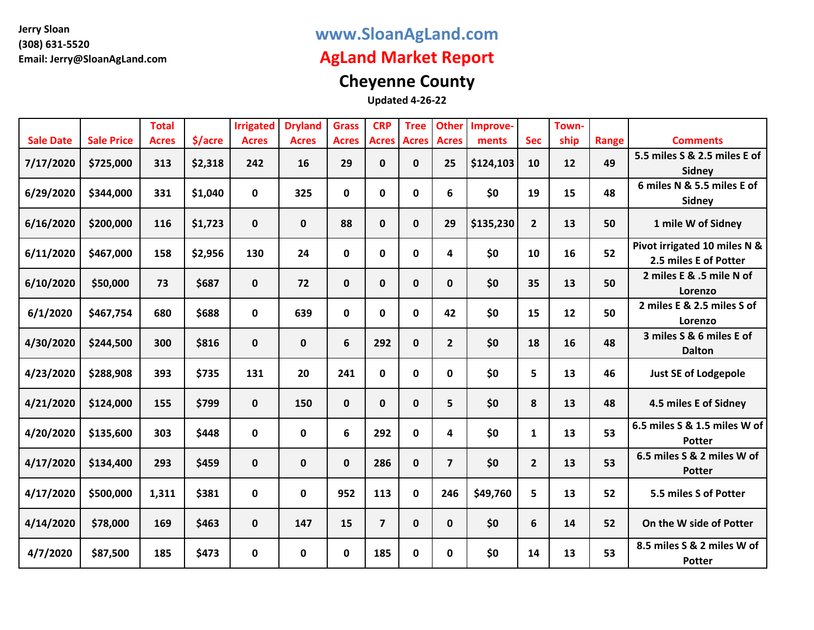### **www.SloanAgLand.com**

## **AgLand Market Report**

# **Cheyenne County**

|                  |                   | <b>Total</b> |         | <b>Irrigated</b> | <b>Dryland</b> | <b>Grass</b> | <b>CRP</b>              | <b>Tree</b>  | <b>Other</b>            | Improve-  |                | Town- |       |                                                       |
|------------------|-------------------|--------------|---------|------------------|----------------|--------------|-------------------------|--------------|-------------------------|-----------|----------------|-------|-------|-------------------------------------------------------|
| <b>Sale Date</b> | <b>Sale Price</b> | <b>Acres</b> | \$/acre | <b>Acres</b>     | <b>Acres</b>   | <b>Acres</b> | <b>Acres</b>            | <b>Acres</b> | <b>Acres</b>            | ments     | <b>Sec</b>     | ship  | Range | <b>Comments</b>                                       |
| 7/17/2020        | \$725,000         | 313          | \$2,318 | 242              | 16             | 29           | $\mathbf 0$             | 0            | 25                      | \$124,103 | 10             | 12    | 49    | 5.5 miles S & 2.5 miles E of<br><b>Sidney</b>         |
| 6/29/2020        | \$344,000         | 331          | \$1,040 | $\mathbf 0$      | 325            | 0            | $\pmb{0}$               | $\mathbf 0$  | 6                       | \$0       | 19             | 15    | 48    | 6 miles N & 5.5 miles E of<br>Sidney                  |
| 6/16/2020        | \$200,000         | 116          | \$1,723 | $\mathbf 0$      | 0              | 88           | $\mathbf 0$             | $\mathbf{0}$ | 29                      | \$135,230 | $\overline{2}$ | 13    | 50    | 1 mile W of Sidney                                    |
| 6/11/2020        | \$467,000         | 158          | \$2,956 | 130              | 24             | $\mathbf 0$  | $\pmb{0}$               | $\mathbf 0$  | 4                       | \$0       | 10             | 16    | 52    | Pivot irrigated 10 miles N &<br>2.5 miles E of Potter |
| 6/10/2020        | \$50,000          | 73           | \$687   | $\mathbf{0}$     | 72             | $\mathbf{0}$ | $\mathbf 0$             | 0            | $\mathbf{0}$            | \$0       | 35             | 13    | 50    | 2 miles E & .5 mile N of<br>Lorenzo                   |
| 6/1/2020         | \$467,754         | 680          | \$688   | $\mathbf 0$      | 639            | $\mathbf 0$  | $\pmb{0}$               | $\mathbf 0$  | 42                      | \$0       | 15             | 12    | 50    | 2 miles E & 2.5 miles S of<br>Lorenzo                 |
| 4/30/2020        | \$244,500         | 300          | \$816   | $\mathbf{0}$     | 0              | 6            | 292                     | 0            | $\overline{2}$          | \$0       | 18             | 16    | 48    | 3 miles S & 6 miles E of<br><b>Dalton</b>             |
| 4/23/2020        | \$288,908         | 393          | \$735   | 131              | 20             | 241          | $\mathbf 0$             | $\mathbf 0$  | $\mathbf{0}$            | \$0       | 5              | 13    | 46    | <b>Just SE of Lodgepole</b>                           |
| 4/21/2020        | \$124,000         | 155          | \$799   | $\mathbf 0$      | 150            | $\mathbf 0$  | $\mathbf 0$             | $\bf{0}$     | 5                       | \$0       | 8              | 13    | 48    | 4.5 miles E of Sidney                                 |
| 4/20/2020        | \$135,600         | 303          | \$448   | $\mathbf 0$      | 0              | 6            | 292                     | $\mathbf 0$  | 4                       | \$0       | $\mathbf{1}$   | 13    | 53    | 6.5 miles S & 1.5 miles W of<br><b>Potter</b>         |
| 4/17/2020        | \$134,400         | 293          | \$459   | $\mathbf 0$      | 0              | $\mathbf 0$  | 286                     | 0            | $\overline{\mathbf{z}}$ | \$0       | $\overline{2}$ | 13    | 53    | 6.5 miles S & 2 miles W of<br><b>Potter</b>           |
| 4/17/2020        | \$500,000         | 1,311        | \$381   | $\mathbf 0$      | 0              | 952          | 113                     | $\mathbf 0$  | 246                     | \$49,760  | 5              | 13    | 52    | 5.5 miles S of Potter                                 |
| 4/14/2020        | \$78,000          | 169          | \$463   | $\mathbf 0$      | 147            | 15           | $\overline{\mathbf{z}}$ | $\mathbf 0$  | $\mathbf{0}$            | \$0       | 6              | 14    | 52    | On the W side of Potter                               |
| 4/7/2020         | \$87,500          | 185          | \$473   | $\mathbf{0}$     | 0              | 0            | 185                     | 0            | 0                       | \$0       | 14             | 13    | 53    | 8.5 miles S & 2 miles W of<br><b>Potter</b>           |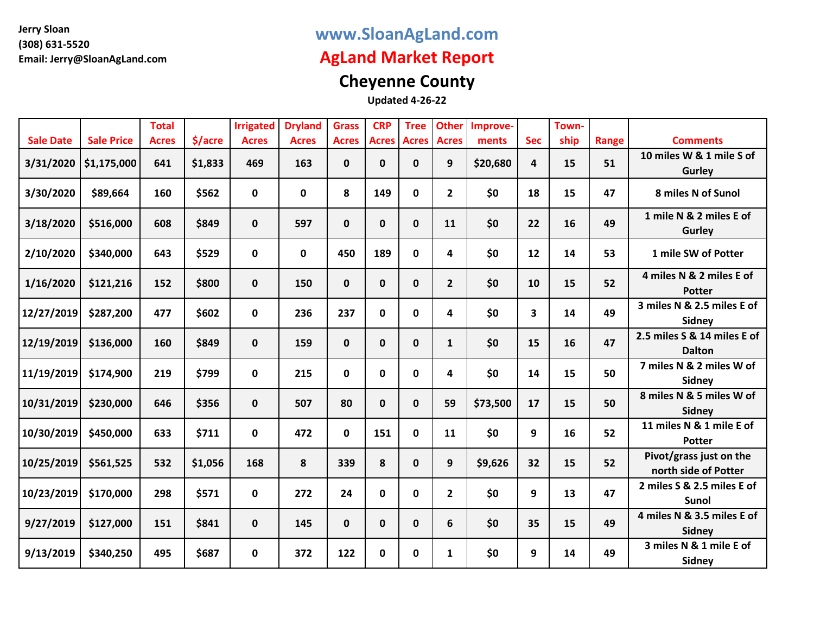### **www.SloanAgLand.com**

## **AgLand Market Report**

# **Cheyenne County**

|                  |                   | <b>Total</b> |         | <b>Irrigated</b> | <b>Dryland</b> | <b>Grass</b> | <b>CRP</b>  | <b>Tree</b>        | <b>Other</b>   | Improve- |            | Town- |       |                                                 |
|------------------|-------------------|--------------|---------|------------------|----------------|--------------|-------------|--------------------|----------------|----------|------------|-------|-------|-------------------------------------------------|
| <b>Sale Date</b> | <b>Sale Price</b> | <b>Acres</b> | \$/acre | <b>Acres</b>     | <b>Acres</b>   | <b>Acres</b> |             | <b>Acres Acres</b> | <b>Acres</b>   | ments    | <b>Sec</b> | ship  | Range | <b>Comments</b>                                 |
| 3/31/2020        | \$1,175,000       | 641          | \$1,833 | 469              | 163            | 0            | $\mathbf 0$ | 0                  | 9              | \$20,680 | 4          | 15    | 51    | 10 miles W & 1 mile S of<br>Gurley              |
| 3/30/2020        | \$89,664          | 160          | \$562   | $\mathbf 0$      | 0              | 8            | 149         | 0                  | $\overline{2}$ | \$0      | 18         | 15    | 47    | 8 miles N of Sunol                              |
| 3/18/2020        | \$516,000         | 608          | \$849   | $\mathbf 0$      | 597            | $\mathbf 0$  | $\mathbf 0$ | $\mathbf 0$        | 11             | \$0      | 22         | 16    | 49    | 1 mile N & 2 miles E of<br>Gurley               |
| 2/10/2020        | \$340,000         | 643          | \$529   | $\mathbf 0$      | 0              | 450          | 189         | $\mathbf 0$        | 4              | \$0      | 12         | 14    | 53    | 1 mile SW of Potter                             |
| 1/16/2020        | \$121,216         | 152          | \$800   | $\mathbf 0$      | 150            | $\mathbf 0$  | $\mathbf 0$ | $\mathbf 0$        | $\overline{2}$ | \$0      | 10         | 15    | 52    | 4 miles N & 2 miles E of<br><b>Potter</b>       |
| 12/27/2019       | \$287,200         | 477          | \$602   | $\mathbf{0}$     | 236            | 237          | $\mathbf 0$ | 0                  | 4              | \$0      | 3          | 14    | 49    | 3 miles N & 2.5 miles E of<br>Sidney            |
| 12/19/2019       | \$136,000         | 160          | \$849   | $\mathbf 0$      | 159            | $\mathbf 0$  | $\mathbf 0$ | $\mathbf 0$        | $\mathbf{1}$   | \$0      | 15         | 16    | 47    | 2.5 miles S & 14 miles E of<br><b>Dalton</b>    |
| 11/19/2019       | \$174,900         | 219          | \$799   | $\mathbf 0$      | 215            | 0            | 0           | $\mathbf 0$        | 4              | \$0      | 14         | 15    | 50    | 7 miles N & 2 miles W of<br>Sidney              |
| 10/31/2019       | \$230,000         | 646          | \$356   | $\mathbf 0$      | 507            | 80           | $\mathbf 0$ | $\mathbf 0$        | 59             | \$73,500 | 17         | 15    | 50    | 8 miles N & 5 miles W of<br><b>Sidney</b>       |
| 10/30/2019       | \$450,000         | 633          | \$711   | $\mathbf 0$      | 472            | 0            | 151         | $\mathbf 0$        | 11             | \$0      | 9          | 16    | 52    | 11 miles N & 1 mile E of<br><b>Potter</b>       |
| 10/25/2019       | \$561,525         | 532          | \$1,056 | 168              | 8              | 339          | 8           | $\mathbf{0}$       | 9              | \$9,626  | 32         | 15    | 52    | Pivot/grass just on the<br>north side of Potter |
| 10/23/2019       | \$170,000         | 298          | \$571   | $\mathbf 0$      | 272            | 24           | $\mathbf 0$ | $\mathbf 0$        | $\overline{2}$ | \$0      | 9          | 13    | 47    | 2 miles S & 2.5 miles E of<br><b>Sunol</b>      |
| 9/27/2019        | \$127,000         | 151          | \$841   | $\mathbf 0$      | 145            | $\mathbf 0$  | $\mathbf 0$ | $\mathbf 0$        | 6              | \$0      | 35         | 15    | 49    | 4 miles N & 3.5 miles E of<br>Sidney            |
| 9/13/2019        | \$340,250         | 495          | \$687   | 0                | 372            | 122          | 0           | 0                  | $\mathbf{1}$   | \$0      | 9          | 14    | 49    | 3 miles N & 1 mile E of<br>Sidney               |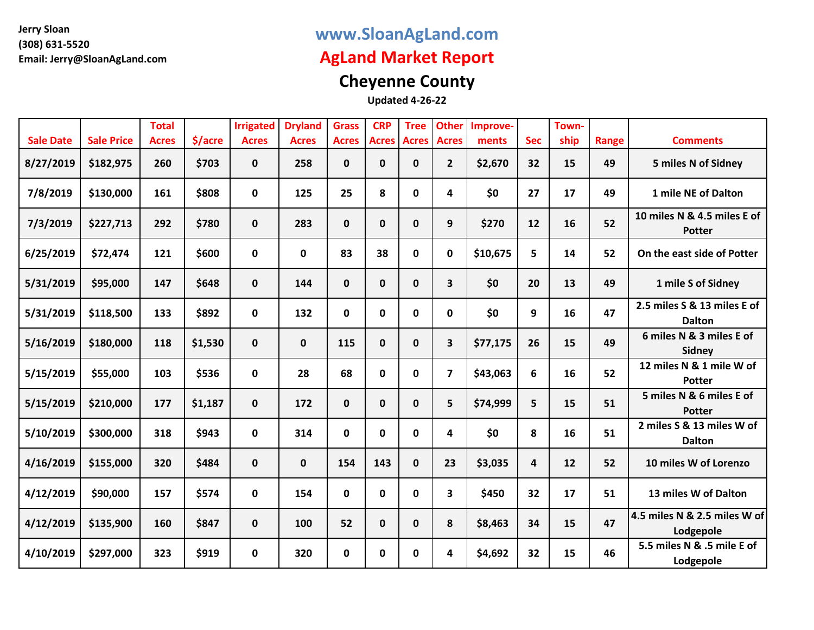### **www.SloanAgLand.com**

## **AgLand Market Report**

# **Cheyenne County**

|                  |                   | <b>Total</b> |         | <b>Irrigated</b> | <b>Dryland</b> | <b>Grass</b> | <b>CRP</b>   | <b>Tree</b>  | <b>Other</b>            | Improve- |                 | Town- |       |                                              |
|------------------|-------------------|--------------|---------|------------------|----------------|--------------|--------------|--------------|-------------------------|----------|-----------------|-------|-------|----------------------------------------------|
| <b>Sale Date</b> | <b>Sale Price</b> | <b>Acres</b> | \$/acre | <b>Acres</b>     | <b>Acres</b>   | <b>Acres</b> | <b>Acres</b> | <b>Acres</b> | <b>Acres</b>            | ments    | <b>Sec</b>      | ship  | Range | <b>Comments</b>                              |
| 8/27/2019        | \$182,975         | 260          | \$703   | $\mathbf{0}$     | 258            | 0            | $\mathbf 0$  | 0            | $\mathbf{2}$            | \$2,670  | 32 <sub>2</sub> | 15    | 49    | 5 miles N of Sidney                          |
| 7/8/2019         | \$130,000         | 161          | \$808   | $\mathbf 0$      | 125            | 25           | 8            | 0            | 4                       | \$0      | 27              | 17    | 49    | 1 mile NE of Dalton                          |
| 7/3/2019         | \$227,713         | 292          | \$780   | $\mathbf 0$      | 283            | $\mathbf 0$  | $\pmb{0}$    | $\mathbf 0$  | 9                       | \$270    | 12              | 16    | 52    | 10 miles N & 4.5 miles E of<br><b>Potter</b> |
| 6/25/2019        | \$72,474          | 121          | \$600   | $\mathbf{0}$     | 0              | 83           | 38           | 0            | $\mathbf{0}$            | \$10,675 | 5               | 14    | 52    | On the east side of Potter                   |
| 5/31/2019        | \$95,000          | 147          | \$648   | $\mathbf 0$      | 144            | $\mathbf 0$  | $\mathbf 0$  | $\mathbf 0$  | 3                       | \$0      | 20              | 13    | 49    | 1 mile S of Sidney                           |
| 5/31/2019        | \$118,500         | 133          | \$892   | 0                | 132            | 0            | $\mathbf 0$  | 0            | 0                       | \$0      | 9               | 16    | 47    | 2.5 miles S & 13 miles E of<br><b>Dalton</b> |
| 5/16/2019        | \$180,000         | 118          | \$1,530 | $\mathbf{0}$     | 0              | 115          | $\mathbf 0$  | $\mathbf 0$  | 3                       | \$77,175 | 26              | 15    | 49    | 6 miles N & 3 miles E of<br>Sidney           |
| 5/15/2019        | \$55,000          | 103          | \$536   | $\mathbf 0$      | 28             | 68           | $\mathbf 0$  | 0            | $\overline{\mathbf{z}}$ | \$43,063 | 6               | 16    | 52    | 12 miles N & 1 mile W of<br><b>Potter</b>    |
| 5/15/2019        | \$210,000         | 177          | \$1,187 | $\mathbf 0$      | 172            | $\mathbf 0$  | $\mathbf 0$  | $\mathbf 0$  | 5                       | \$74,999 | 5               | 15    | 51    | 5 miles N & 6 miles E of<br><b>Potter</b>    |
| 5/10/2019        | \$300,000         | 318          | \$943   | $\mathbf 0$      | 314            | 0            | $\mathbf 0$  | 0            | 4                       | \$0      | 8               | 16    | 51    | 2 miles S & 13 miles W of<br><b>Dalton</b>   |
| 4/16/2019        | \$155,000         | 320          | \$484   | $\mathbf 0$      | $\mathbf 0$    | 154          | 143          | $\mathbf{0}$ | 23                      | \$3,035  | 4               | 12    | 52    | 10 miles W of Lorenzo                        |
| 4/12/2019        | \$90,000          | 157          | \$574   | $\mathbf 0$      | 154            | $\mathbf 0$  | $\mathbf 0$  | 0            | 3                       | \$450    | 32              | 17    | 51    | 13 miles W of Dalton                         |
| 4/12/2019        | \$135,900         | 160          | \$847   | $\mathbf{0}$     | 100            | 52           | $\mathbf 0$  | $\mathbf{0}$ | 8                       | \$8,463  | 34              | 15    | 47    | 4.5 miles N & 2.5 miles W of<br>Lodgepole    |
| 4/10/2019        | \$297,000         | 323          | \$919   | $\mathbf 0$      | 320            | 0            | $\mathbf 0$  | 0            | 4                       | \$4,692  | 32              | 15    | 46    | 5.5 miles N & .5 mile E of<br>Lodgepole      |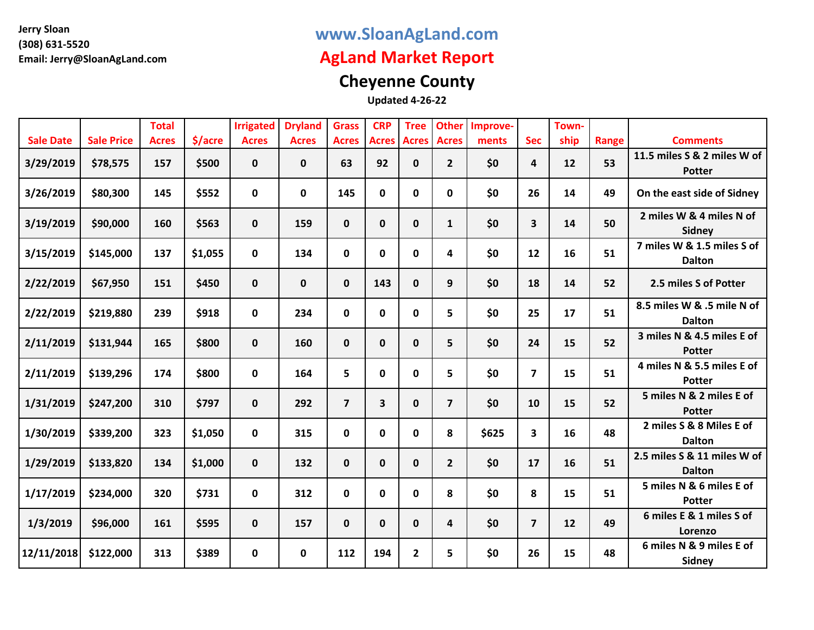### **www.SloanAgLand.com**

## **AgLand Market Report**

# **Cheyenne County**

|                  |                   | <b>Total</b> |         | <b>Irrigated</b> | <b>Dryland</b> | <b>Grass</b>   | <b>CRP</b>   | <b>Tree</b>  | <b>Other</b>   | Improve- |                | Town- |       |                                              |
|------------------|-------------------|--------------|---------|------------------|----------------|----------------|--------------|--------------|----------------|----------|----------------|-------|-------|----------------------------------------------|
| <b>Sale Date</b> | <b>Sale Price</b> | <b>Acres</b> | \$/acre | <b>Acres</b>     | <b>Acres</b>   | <b>Acres</b>   | <b>Acres</b> | <b>Acres</b> | <b>Acres</b>   | ments    | <b>Sec</b>     | ship  | Range | <b>Comments</b>                              |
| 3/29/2019        | \$78,575          | 157          | \$500   | $\mathbf{0}$     | 0              | 63             | 92           | 0            | $\mathbf{2}$   | \$0      | 4              | 12    | 53    | 11.5 miles S & 2 miles W of<br><b>Potter</b> |
| 3/26/2019        | \$80,300          | 145          | \$552   | $\mathbf 0$      | 0              | 145            | $\mathbf 0$  | 0            | 0              | \$0      | 26             | 14    | 49    | On the east side of Sidney                   |
| 3/19/2019        | \$90,000          | 160          | \$563   | $\mathbf 0$      | 159            | $\mathbf 0$    | $\mathbf 0$  | $\mathbf 0$  | $\mathbf{1}$   | \$0      | 3              | 14    | 50    | 2 miles W & 4 miles N of<br>Sidney           |
| 3/15/2019        | \$145,000         | 137          | \$1,055 | 0                | 134            | 0              | 0            | 0            | 4              | \$0      | 12             | 16    | 51    | 7 miles W & 1.5 miles S of<br><b>Dalton</b>  |
| 2/22/2019        | \$67,950          | 151          | \$450   | $\mathbf 0$      | 0              | $\mathbf 0$    | 143          | $\mathbf 0$  | 9              | \$0      | 18             | 14    | 52    | 2.5 miles S of Potter                        |
| 2/22/2019        | \$219,880         | 239          | \$918   | 0                | 234            | $\mathbf 0$    | $\mathbf 0$  | 0            | 5              | \$0      | 25             | 17    | 51    | 8.5 miles W & .5 mile N of<br><b>Dalton</b>  |
| 2/11/2019        | \$131,944         | 165          | \$800   | $\mathbf{0}$     | 160            | $\mathbf 0$    | $\mathbf 0$  | $\mathbf 0$  | 5              | \$0      | 24             | 15    | 52    | 3 miles N & 4.5 miles E of<br><b>Potter</b>  |
| 2/11/2019        | \$139,296         | 174          | \$800   | $\mathbf 0$      | 164            | 5              | 0            | 0            | 5              | \$0      | $\overline{7}$ | 15    | 51    | 4 miles N & 5.5 miles E of<br><b>Potter</b>  |
| 1/31/2019        | \$247,200         | 310          | \$797   | $\mathbf 0$      | 292            | $\overline{7}$ | 3            | $\mathbf 0$  | $\overline{7}$ | \$0      | 10             | 15    | 52    | 5 miles N & 2 miles E of<br><b>Potter</b>    |
| 1/30/2019        | \$339,200         | 323          | \$1,050 | 0                | 315            | $\mathbf{0}$   | 0            | 0            | 8              | \$625    | 3              | 16    | 48    | 2 miles S & 8 Miles E of<br><b>Dalton</b>    |
| 1/29/2019        | \$133,820         | 134          | \$1,000 | $\mathbf 0$      | 132            | $\mathbf{0}$   | $\mathbf 0$  | $\mathbf 0$  | $\overline{2}$ | \$0      | 17             | 16    | 51    | 2.5 miles S & 11 miles W of<br><b>Dalton</b> |
| 1/17/2019        | \$234,000         | 320          | \$731   | $\mathbf{0}$     | 312            | $\mathbf 0$    | $\mathbf 0$  | 0            | 8              | \$0      | 8              | 15    | 51    | 5 miles N & 6 miles E of<br><b>Potter</b>    |
| 1/3/2019         | \$96,000          | 161          | \$595   | $\mathbf{0}$     | 157            | 0              | 0            | $\mathbf 0$  | 4              | \$0      | $\overline{7}$ | 12    | 49    | 6 miles E & 1 miles S of<br>Lorenzo          |
| 12/11/2018       | \$122,000         | 313          | \$389   | $\mathbf 0$      | $\mathbf 0$    | 112            | 194          | $\mathbf{2}$ | 5              | \$0      | 26             | 15    | 48    | 6 miles N & 9 miles E of<br>Sidney           |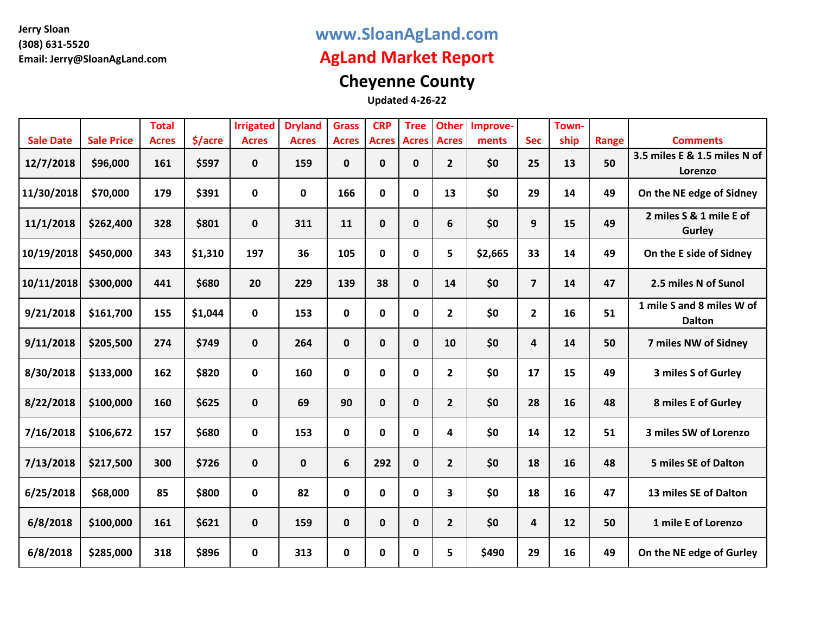### **www.SloanAgLand.com**

## **AgLand Market Report**

# **Cheyenne County**

|                  |                   | <b>Total</b> |         | <b>Irrigated</b> | <b>Dryland</b> | <b>Grass</b> | <b>CRP</b>   | <b>Tree</b>  | <b>Other</b>   | Improve- |                | Town- |       |                                            |
|------------------|-------------------|--------------|---------|------------------|----------------|--------------|--------------|--------------|----------------|----------|----------------|-------|-------|--------------------------------------------|
| <b>Sale Date</b> | <b>Sale Price</b> | <b>Acres</b> | \$/acre | <b>Acres</b>     | <b>Acres</b>   | <b>Acres</b> | <b>Acres</b> | <b>Acres</b> | <b>Acres</b>   | ments    | <b>Sec</b>     | ship  | Range | <b>Comments</b>                            |
| 12/7/2018        | \$96,000          | 161          | \$597   | $\mathbf 0$      | 159            | 0            | $\pmb{0}$    | 0            | $\mathbf{2}$   | \$0      | 25             | 13    | 50    | 3.5 miles E & 1.5 miles N of<br>Lorenzo    |
| 11/30/2018       | \$70,000          | 179          | \$391   | $\mathbf 0$      | 0              | 166          | $\mathbf 0$  | 0            | 13             | \$0      | 29             | 14    | 49    | On the NE edge of Sidney                   |
| 11/1/2018        | \$262,400         | 328          | \$801   | $\mathbf 0$      | 311            | 11           | $\mathbf 0$  | 0            | 6              | \$0      | 9              | 15    | 49    | 2 miles S & 1 mile E of<br>Gurley          |
| 10/19/2018       | \$450,000         | 343          | \$1,310 | 197              | 36             | 105          | $\pmb{0}$    | $\mathbf 0$  | 5              | \$2,665  | 33             | 14    | 49    | On the E side of Sidney                    |
| 10/11/2018       | \$300,000         | 441          | \$680   | 20               | 229            | 139          | 38           | $\mathbf 0$  | 14             | \$0      | $\overline{7}$ | 14    | 47    | 2.5 miles N of Sunol                       |
| 9/21/2018        | \$161,700         | 155          | \$1,044 | $\mathbf 0$      | 153            | 0            | $\mathbf 0$  | $\mathbf 0$  | $\mathbf{2}$   | \$0      | $\overline{2}$ | 16    | 51    | 1 mile S and 8 miles W of<br><b>Dalton</b> |
| 9/11/2018        | \$205,500         | 274          | \$749   | $\mathbf 0$      | 264            | 0            | $\mathbf 0$  | $\mathbf{0}$ | 10             | \$0      | 4              | 14    | 50    | 7 miles NW of Sidney                       |
| 8/30/2018        | \$133,000         | 162          | \$820   | $\mathbf 0$      | 160            | 0            | $\pmb{0}$    | $\mathbf 0$  | $\mathbf{2}$   | \$0      | 17             | 15    | 49    | 3 miles S of Gurley                        |
| 8/22/2018        | \$100,000         | 160          | \$625   | $\mathbf 0$      | 69             | 90           | $\mathbf 0$  | $\mathbf 0$  | $\mathbf{2}$   | \$0      | 28             | 16    | 48    | 8 miles E of Gurley                        |
| 7/16/2018        | \$106,672         | 157          | \$680   | $\mathbf 0$      | 153            | 0            | $\pmb{0}$    | 0            | 4              | \$0      | 14             | 12    | 51    | 3 miles SW of Lorenzo                      |
| 7/13/2018        | \$217,500         | 300          | \$726   | $\mathbf 0$      | 0              | 6            | 292          | $\mathbf 0$  | 2 <sup>1</sup> | \$0      | 18             | 16    | 48    | <b>5 miles SE of Dalton</b>                |
| 6/25/2018        | \$68,000          | 85           | \$800   | $\mathbf 0$      | 82             | 0            | $\mathbf 0$  | $\mathbf 0$  | 3              | \$0      | 18             | 16    | 47    | 13 miles SE of Dalton                      |
| 6/8/2018         | \$100,000         | 161          | \$621   | $\mathbf 0$      | 159            | 0            | $\pmb{0}$    | $\mathbf 0$  | 2 <sup>1</sup> | \$0      | 4              | 12    | 50    | 1 mile E of Lorenzo                        |
| 6/8/2018         | \$285,000         | 318          | \$896   | 0                | 313            | 0            | 0            | 0            | 5              | \$490    | 29             | 16    | 49    | On the NE edge of Gurley                   |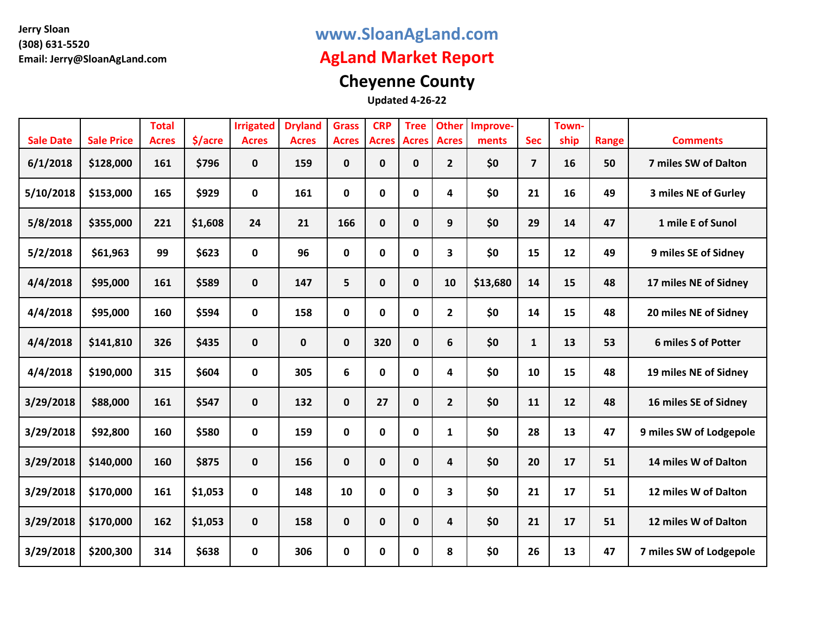### **www.SloanAgLand.com**

## **AgLand Market Report**

# **Cheyenne County**

|                  |                   | <b>Total</b> |         | <b>Irrigated</b> | <b>Dryland</b> | <b>Grass</b> | <b>CRP</b>   | <b>Tree</b>  | <b>Other</b> | Improve- |                | Town- |       |                         |
|------------------|-------------------|--------------|---------|------------------|----------------|--------------|--------------|--------------|--------------|----------|----------------|-------|-------|-------------------------|
| <b>Sale Date</b> | <b>Sale Price</b> | <b>Acres</b> | \$/acre | <b>Acres</b>     | <b>Acres</b>   | <b>Acres</b> | <b>Acres</b> | <b>Acres</b> | <b>Acres</b> | ments    | <b>Sec</b>     | ship  | Range | <b>Comments</b>         |
| 6/1/2018         | \$128,000         | 161          | \$796   | $\mathbf 0$      | 159            | 0            | $\pmb{0}$    | $\mathbf 0$  | $\mathbf{2}$ | \$0      | $\overline{7}$ | 16    | 50    | 7 miles SW of Dalton    |
| 5/10/2018        | \$153,000         | 165          | \$929   | $\mathbf 0$      | 161            | 0            | $\mathbf 0$  | 0            | 4            | \$0      | 21             | 16    | 49    | 3 miles NE of Gurley    |
| 5/8/2018         | \$355,000         | 221          | \$1,608 | 24               | 21             | 166          | $\mathbf 0$  | $\mathbf 0$  | 9            | \$0      | 29             | 14    | 47    | 1 mile E of Sunol       |
| 5/2/2018         | \$61,963          | 99           | \$623   | $\mathbf 0$      | 96             | 0            | $\pmb{0}$    | 0            | 3            | \$0      | 15             | 12    | 49    | 9 miles SE of Sidney    |
| 4/4/2018         | \$95,000          | 161          | \$589   | $\mathbf 0$      | 147            | 5            | $\pmb{0}$    | $\mathbf{0}$ | 10           | \$13,680 | 14             | 15    | 48    | 17 miles NE of Sidney   |
| 4/4/2018         | \$95,000          | 160          | \$594   | $\mathbf 0$      | 158            | 0            | $\mathbf 0$  | $\mathbf 0$  | $\mathbf{2}$ | \$0      | 14             | 15    | 48    | 20 miles NE of Sidney   |
| 4/4/2018         | \$141,810         | 326          | \$435   | $\mathbf 0$      | 0              | $\mathbf 0$  | 320          | $\mathbf{0}$ | 6            | \$0      | $\mathbf{1}$   | 13    | 53    | 6 miles S of Potter     |
| 4/4/2018         | \$190,000         | 315          | \$604   | 0                | 305            | 6            | $\mathbf 0$  | 0            | 4            | \$0      | 10             | 15    | 48    | 19 miles NE of Sidney   |
| 3/29/2018        | \$88,000          | 161          | \$547   | $\mathbf 0$      | 132            | $\mathbf 0$  | 27           | $\mathbf 0$  | $2^{\circ}$  | \$0      | 11             | 12    | 48    | 16 miles SE of Sidney   |
| 3/29/2018        | \$92,800          | 160          | \$580   | $\mathbf 0$      | 159            | 0            | $\mathbf 0$  | $\mathbf 0$  | $\mathbf{1}$ | \$0      | 28             | 13    | 47    | 9 miles SW of Lodgepole |
| 3/29/2018        | \$140,000         | 160          | \$875   | $\mathbf 0$      | 156            | $\mathbf{0}$ | $\mathbf 0$  | $\mathbf 0$  | 4            | \$0      | 20             | 17    | 51    | 14 miles W of Dalton    |
| 3/29/2018        | \$170,000         | 161          | \$1,053 | 0                | 148            | 10           | $\mathbf 0$  | 0            | 3            | \$0      | 21             | 17    | 51    | 12 miles W of Dalton    |
| 3/29/2018        | \$170,000         | 162          | \$1,053 | $\mathbf 0$      | 158            | $\mathbf 0$  | $\mathbf 0$  | $\mathbf 0$  | 4            | \$0      | 21             | 17    | 51    | 12 miles W of Dalton    |
| 3/29/2018        | \$200,300         | 314          | \$638   | $\mathbf 0$      | 306            | $\mathbf{0}$ | 0            | 0            | 8            | \$0      | 26             | 13    | 47    | 7 miles SW of Lodgepole |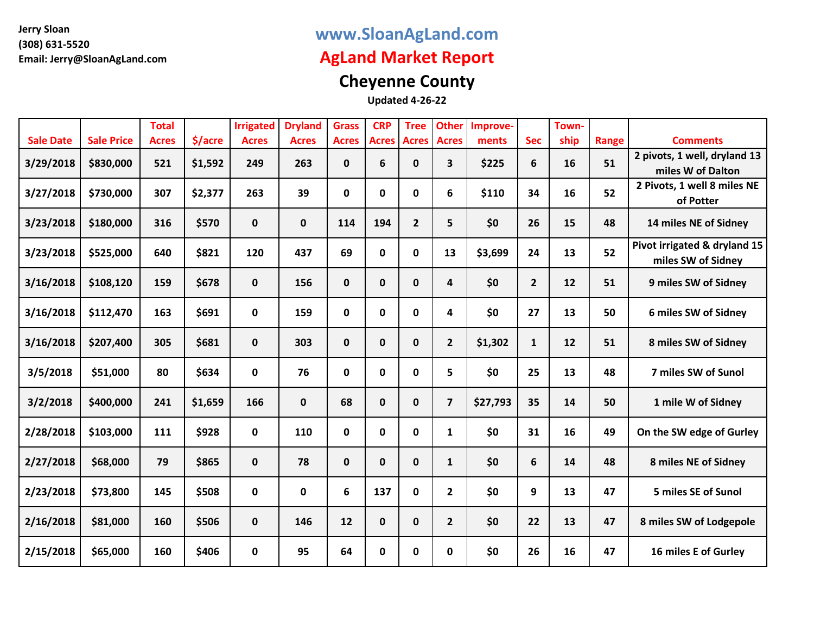### **www.SloanAgLand.com**

## **AgLand Market Report**

# **Cheyenne County**

|                  |                   | <b>Total</b> |         | <b>Irrigated</b> | <b>Dryland</b> | <b>Grass</b> | <b>CRP</b>   | <b>Tree</b>    | <b>Other</b>            | Improve- |                | Town- |       |                                                    |
|------------------|-------------------|--------------|---------|------------------|----------------|--------------|--------------|----------------|-------------------------|----------|----------------|-------|-------|----------------------------------------------------|
| <b>Sale Date</b> | <b>Sale Price</b> | <b>Acres</b> | \$/acre | <b>Acres</b>     | <b>Acres</b>   | <b>Acres</b> | <b>Acres</b> | <b>Acres</b>   | <b>Acres</b>            | ments    | <b>Sec</b>     | ship  | Range | <b>Comments</b>                                    |
| 3/29/2018        | \$830,000         | 521          | \$1,592 | 249              | 263            | $\mathbf{0}$ | 6            | $\mathbf 0$    | 3                       | \$225    | 6              | 16    | 51    | 2 pivots, 1 well, dryland 13<br>miles W of Dalton  |
| 3/27/2018        | \$730,000         | 307          | \$2,377 | 263              | 39             | 0            | 0            | 0              | 6                       | \$110    | 34             | 16    | 52    | 2 Pivots, 1 well 8 miles NE<br>of Potter           |
| 3/23/2018        | \$180,000         | 316          | \$570   | $\mathbf 0$      | 0              | 114          | 194          | $\overline{2}$ | 5                       | \$0      | 26             | 15    | 48    | 14 miles NE of Sidney                              |
| 3/23/2018        | \$525,000         | 640          | \$821   | 120              | 437            | 69           | $\mathbf 0$  | 0              | 13                      | \$3,699  | 24             | 13    | 52    | Pivot irrigated & dryland 15<br>miles SW of Sidney |
| 3/16/2018        | \$108,120         | 159          | \$678   | $\mathbf{0}$     | 156            | $\mathbf 0$  | $\mathbf 0$  | $\mathbf 0$    | 4                       | \$0      | $\overline{2}$ | 12    | 51    | 9 miles SW of Sidney                               |
| 3/16/2018        | \$112,470         | 163          | \$691   | 0                | 159            | 0            | 0            | 0              | 4                       | \$0      | 27             | 13    | 50    | 6 miles SW of Sidney                               |
| 3/16/2018        | \$207,400         | 305          | \$681   | $\mathbf{0}$     | 303            | $\mathbf 0$  | 0            | $\mathbf 0$    | $\overline{2}$          | \$1,302  | $\mathbf{1}$   | 12    | 51    | 8 miles SW of Sidney                               |
| 3/5/2018         | \$51,000          | 80           | \$634   | $\mathbf 0$      | 76             | 0            | $\mathbf 0$  | $\mathbf 0$    | 5                       | \$0      | 25             | 13    | 48    | 7 miles SW of Sunol                                |
| 3/2/2018         | \$400,000         | 241          | \$1,659 | 166              | 0              | 68           | $\mathbf 0$  | $\mathbf 0$    | $\overline{\mathbf{z}}$ | \$27,793 | 35             | 14    | 50    | 1 mile W of Sidney                                 |
| 2/28/2018        | \$103,000         | 111          | \$928   | $\mathbf 0$      | 110            | 0            | $\mathbf 0$  | $\mathbf 0$    | $\mathbf{1}$            | \$0      | 31             | 16    | 49    | On the SW edge of Gurley                           |
| 2/27/2018        | \$68,000          | 79           | \$865   | $\mathbf 0$      | 78             | $\mathbf 0$  | 0            | $\mathbf 0$    | $\mathbf{1}$            | \$0      | 6              | 14    | 48    | 8 miles NE of Sidney                               |
| 2/23/2018        | \$73,800          | 145          | \$508   | $\mathbf 0$      | 0              | 6            | 137          | 0              | $\overline{2}$          | \$0      | 9              | 13    | 47    | 5 miles SE of Sunol                                |
| 2/16/2018        | \$81,000          | 160          | \$506   | $\mathbf 0$      | 146            | 12           | $\mathbf 0$  | $\mathbf 0$    | $\mathbf{2}$            | \$0      | 22             | 13    | 47    | 8 miles SW of Lodgepole                            |
| 2/15/2018        | \$65,000          | 160          | \$406   | 0                | 95             | 64           | 0            | 0              | 0                       | \$0      | 26             | 16    | 47    | 16 miles E of Gurley                               |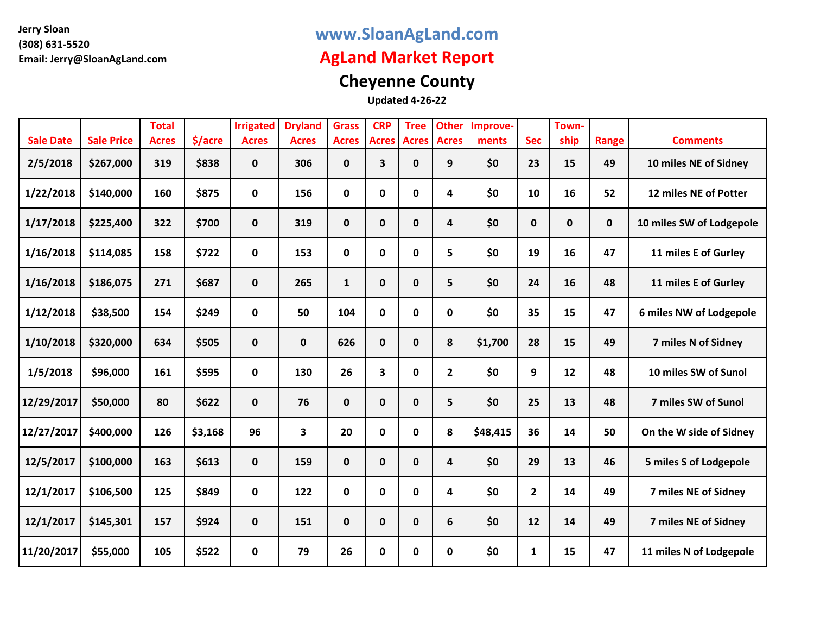### **www.SloanAgLand.com**

## **AgLand Market Report**

# **Cheyenne County**

| <b>Sale Date</b> | <b>Sale Price</b> | <b>Total</b><br><b>Acres</b> | \$/acre | <b>Irrigated</b><br><b>Acres</b> | <b>Dryland</b><br><b>Acres</b> | <b>Grass</b><br><b>Acres</b> | <b>CRP</b><br><b>Acres</b> | <b>Tree</b><br><b>Acres</b> | <b>Other</b><br><b>Acres</b> | Improve-<br>ments | <b>Sec</b>   | Town-<br>ship | Range | <b>Comments</b>          |
|------------------|-------------------|------------------------------|---------|----------------------------------|--------------------------------|------------------------------|----------------------------|-----------------------------|------------------------------|-------------------|--------------|---------------|-------|--------------------------|
| 2/5/2018         | \$267,000         | 319                          | \$838   | $\mathbf{0}$                     | 306                            | $\mathbf 0$                  | 3                          | $\mathbf{0}$                | 9                            | \$0               | 23           | 15            | 49    | 10 miles NE of Sidney    |
| 1/22/2018        | \$140,000         | 160                          | \$875   | $\mathbf 0$                      | 156                            | 0                            | $\mathbf 0$                | $\mathbf 0$                 | 4                            | \$0               | 10           | 16            | 52    | 12 miles NE of Potter    |
| 1/17/2018        | \$225,400         | 322                          | \$700   | $\mathbf{0}$                     | 319                            | $\mathbf 0$                  | $\mathbf 0$                | 0                           | 4                            | \$0               | 0            | $\mathbf 0$   | 0     | 10 miles SW of Lodgepole |
| 1/16/2018        | \$114,085         | 158                          | \$722   | $\mathbf 0$                      | 153                            | 0                            | $\mathbf 0$                | $\mathbf 0$                 | 5                            | \$0               | 19           | 16            | 47    | 11 miles E of Gurley     |
| 1/16/2018        | \$186,075         | 271                          | \$687   | $\mathbf{0}$                     | 265                            | 1                            | $\mathbf 0$                | 0                           | 5                            | \$0               | 24           | 16            | 48    | 11 miles E of Gurley     |
| 1/12/2018        | \$38,500          | 154                          | \$249   | $\mathbf 0$                      | 50                             | 104                          | $\mathbf 0$                | $\mathbf 0$                 | 0                            | \$0               | 35           | 15            | 47    | 6 miles NW of Lodgepole  |
| 1/10/2018        | \$320,000         | 634                          | \$505   | $\mathbf 0$                      | 0                              | 626                          | $\mathbf 0$                | $\mathbf{0}$                | 8                            | \$1,700           | 28           | 15            | 49    | 7 miles N of Sidney      |
| 1/5/2018         | \$96,000          | 161                          | \$595   | $\mathbf 0$                      | 130                            | 26                           | 3                          | $\mathbf 0$                 | $\overline{2}$               | \$0               | 9            | 12            | 48    | 10 miles SW of Sunol     |
| 12/29/2017       | \$50,000          | 80                           | \$622   | $\mathbf 0$                      | 76                             | $\mathbf 0$                  | $\mathbf 0$                | $\bf{0}$                    | 5                            | \$0               | 25           | 13            | 48    | 7 miles SW of Sunol      |
| 12/27/2017       | \$400,000         | 126                          | \$3,168 | 96                               | $\overline{\mathbf{3}}$        | 20                           | $\mathbf 0$                | $\mathbf{0}$                | 8                            | \$48,415          | 36           | 14            | 50    | On the W side of Sidney  |
| 12/5/2017        | \$100,000         | 163                          | \$613   | $\mathbf 0$                      | 159                            | $\mathbf 0$                  | $\mathbf 0$                | $\mathbf{0}$                | 4                            | \$0               | 29           | 13            | 46    | 5 miles S of Lodgepole   |
| 12/1/2017        | \$106,500         | 125                          | \$849   | $\mathbf 0$                      | 122                            | $\mathbf 0$                  | $\mathbf 0$                | 0                           | 4                            | \$0               | $\mathbf{2}$ | 14            | 49    | 7 miles NE of Sidney     |
| 12/1/2017        | \$145,301         | 157                          | \$924   | $\mathbf 0$                      | 151                            | $\mathbf{0}$                 | $\mathbf 0$                | 0                           | 6                            | \$0               | 12           | 14            | 49    | 7 miles NE of Sidney     |
| 11/20/2017       | \$55,000          | 105                          | \$522   | $\mathbf 0$                      | 79                             | 26                           | $\mathbf 0$                | 0                           | 0                            | \$0               | $\mathbf{1}$ | 15            | 47    | 11 miles N of Lodgepole  |